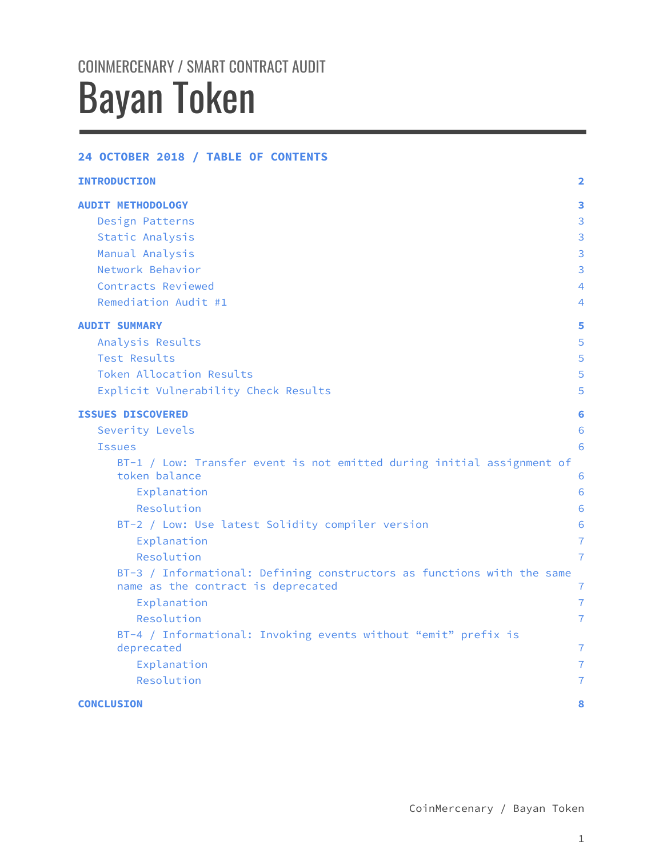# COINMERCENARY / SMART CONTRACT AUDIT Bayan Token

### 24 OCTOBER 2018 / TABLE OF CONTENTS

| <b>INTRODUCTION</b>                                                                                          | $\overline{2}$ |
|--------------------------------------------------------------------------------------------------------------|----------------|
| <b>AUDIT METHODOLOGY</b>                                                                                     | 3              |
| Design Patterns                                                                                              | 3              |
| Static Analysis                                                                                              | 3              |
| Manual Analysis                                                                                              | 3              |
| Network Behavior                                                                                             | 3              |
| Contracts Reviewed                                                                                           | 4              |
| Remediation Audit #1                                                                                         | 4              |
| <b>AUDIT SUMMARY</b>                                                                                         | 5              |
| Analysis Results                                                                                             | 5              |
| Test Results                                                                                                 | 5              |
| Token Allocation Results                                                                                     | 5              |
| Explicit Vulnerability Check Results                                                                         | 5              |
| <b>ISSUES DISCOVERED</b>                                                                                     | 6              |
| Severity Levels                                                                                              | 6              |
| <b>Issues</b>                                                                                                | 6              |
| BT-1 / Low: Transfer event is not emitted during initial assignment of                                       |                |
| token balance                                                                                                | 6              |
| Explanation                                                                                                  | 6              |
| Resolution                                                                                                   | 6              |
| BT-2 / Low: Use latest Solidity compiler version                                                             | 6              |
| Explanation                                                                                                  | $\overline{7}$ |
| Resolution                                                                                                   | $\overline{7}$ |
| BT-3 / Informational: Defining constructors as functions with the same<br>name as the contract is deprecated | $\overline{7}$ |
| Explanation                                                                                                  | $\overline{7}$ |
| Resolution                                                                                                   | $\overline{7}$ |
| BT-4 / Informational: Invoking events without "emit" prefix is                                               |                |
| deprecated                                                                                                   | $\overline{7}$ |
| Explanation                                                                                                  | $\overline{7}$ |
| Resolution                                                                                                   | $\overline{7}$ |
| <b>CONCLUSION</b>                                                                                            | 8              |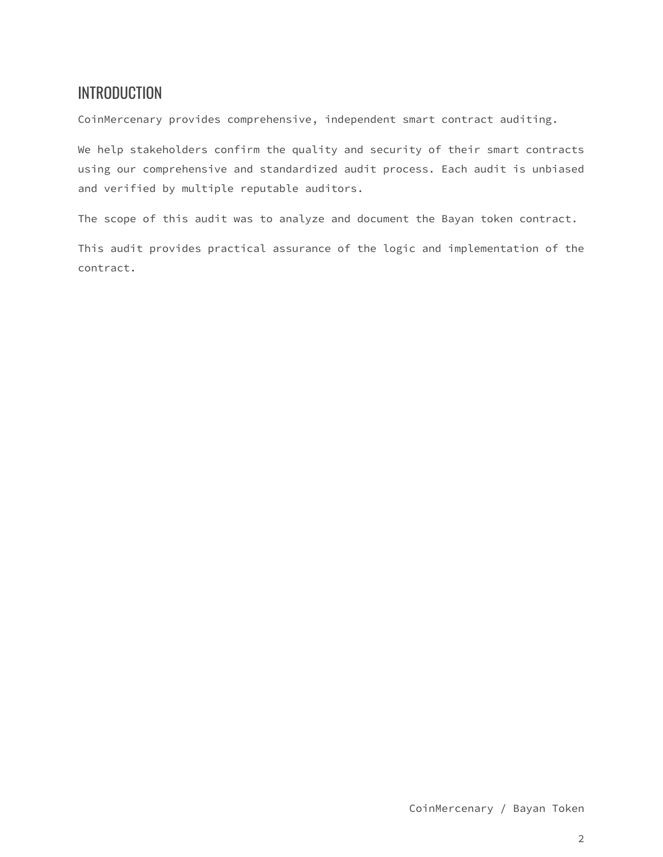# <span id="page-1-0"></span>**INTRODUCTION**

CoinMercenary provides comprehensive, independent smart contract auditing.

We help stakeholders confirm the quality and security of their smart contracts using our comprehensive and standardized audit process. Each audit is unbiased and verified by multiple reputable auditors.

The scope of this audit was to analyze and document the Bayan token contract.

This audit provides practical assurance of the logic and implementation of the contract.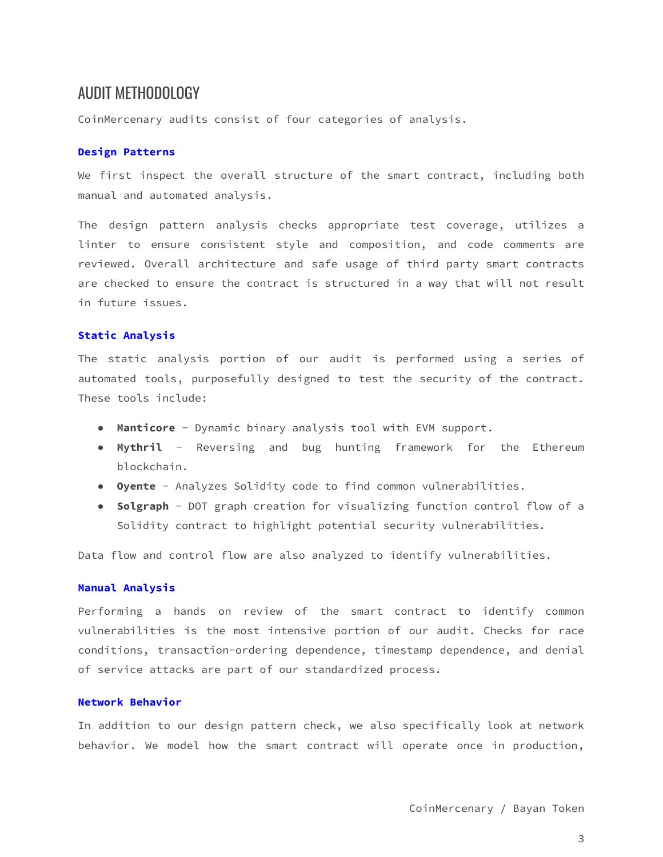### <span id="page-2-0"></span>AUDIT METHODOLOGY

CoinMercenary audits consist of four categories of analysis.

#### <span id="page-2-1"></span>Design Patterns

We first inspect the overall structure of the smart contract, including both manual and automated analysis.

The design pattern analysis checks appropriate test coverage, utilizes a linter to ensure consistent style and composition, and code comments are reviewed. Overall architecture and safe usage of third party smart contracts are checked to ensure the contract is structured in a way that will not result in future issues.

#### <span id="page-2-2"></span>Static Analysis

The static analysis portion of our audit is performed using a series of automated tools, purposefully designed to test the security of the contract. These tools include:

- Manticore Dynamic binary analysis tool with EVM support.
- Mythril Reversing and bug hunting framework for the Ethereum blockchain.
- Oyente Analyzes Solidity code to find common vulnerabilities.
- Solgraph DOT graph creation for visualizing function control flow of a Solidity contract to highlight potential security vulnerabilities.

Data flow and control flow are also analyzed to identify vulnerabilities.

#### <span id="page-2-3"></span>Manual Analysis

Performing a hands on review of the smart contract to identify common vulnerabilities is the most intensive portion of our audit. Checks for race conditions, transaction-ordering dependence, timestamp dependence, and denial of service attacks are part of our standardized process.

#### <span id="page-2-4"></span>Network Behavior

In addition to our design pattern check, we also specifically look at network behavior. We model how the smart contract will operate once in production,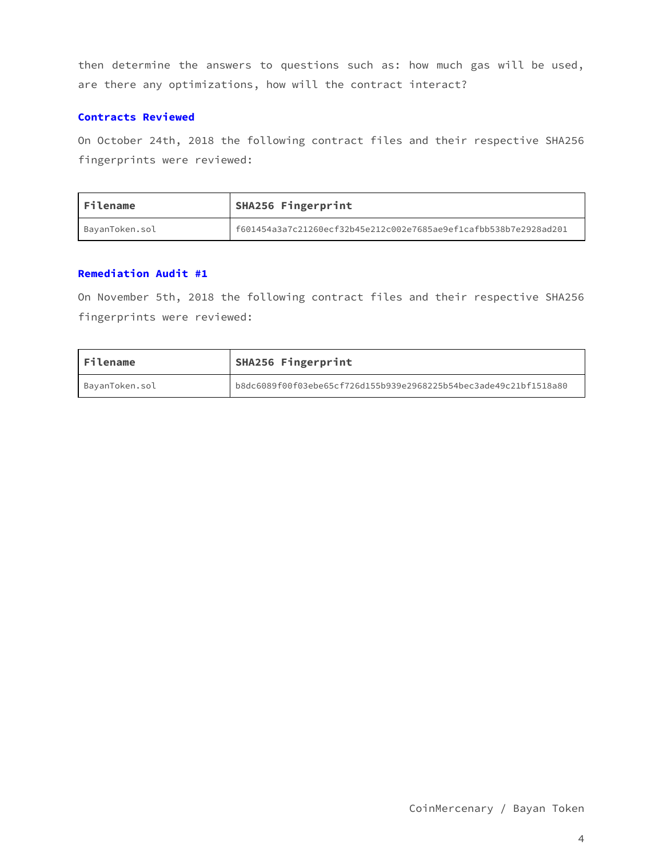then determine the answers to questions such as: how much gas will be used, are there any optimizations, how will the contract interact?

### <span id="page-3-0"></span>Contracts Reviewed

On October 24th, 2018 the following contract files and their respective SHA256 fingerprints were reviewed:

| <b>Filename</b> | SHA256 Fingerprint                                               |
|-----------------|------------------------------------------------------------------|
| BayanToken.sol  | f601454a3a7c21260ecf32b45e212c002e7685ae9ef1cafbb538b7e2928ad201 |

### <span id="page-3-1"></span>Remediation Audit #1

On November 5th, 2018 the following contract files and their respective SHA256 fingerprints were reviewed:

| Filename       | SHA256 Fingerprint                                               |  |
|----------------|------------------------------------------------------------------|--|
| BayanToken.sol | b8dc6089f00f03ebe65cf726d155b939e2968225b54bec3ade49c21bf1518a80 |  |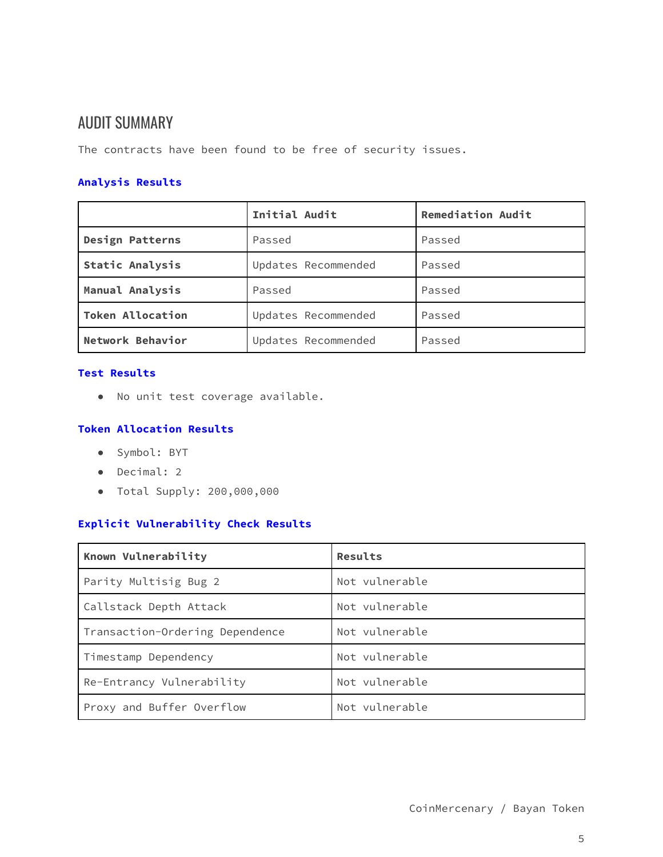# <span id="page-4-0"></span>AUDIT SUMMARY

The contracts have been found to be free of security issues.

### <span id="page-4-1"></span>Analysis Results

|                         | Initial Audit       | <b>Remediation Audit</b> |
|-------------------------|---------------------|--------------------------|
| <b>Design Patterns</b>  | Passed              | Passed                   |
| <b>Static Analysis</b>  | Updates Recommended | Passed                   |
| Manual Analysis         | Passed              | Passed                   |
| <b>Token Allocation</b> | Updates Recommended | Passed                   |
| Network Behavior        | Updates Recommended | Passed                   |

### <span id="page-4-2"></span>Test Results

● No unit test coverage available.

### <span id="page-4-3"></span>Token Allocation Results

- Symbol: BYT
- Decimal: 2
- Total Supply: 200,000,000

### <span id="page-4-4"></span>Explicit Vulnerability Check Results

| Known Vulnerability             | Results        |
|---------------------------------|----------------|
| Parity Multisig Bug 2           | Not vulnerable |
| Callstack Depth Attack          | Not vulnerable |
| Transaction-Ordering Dependence | Not vulnerable |
| Timestamp Dependency            | Not vulnerable |
| Re-Entrancy Vulnerability       | Not vulnerable |
| Proxy and Buffer Overflow       | Not vulnerable |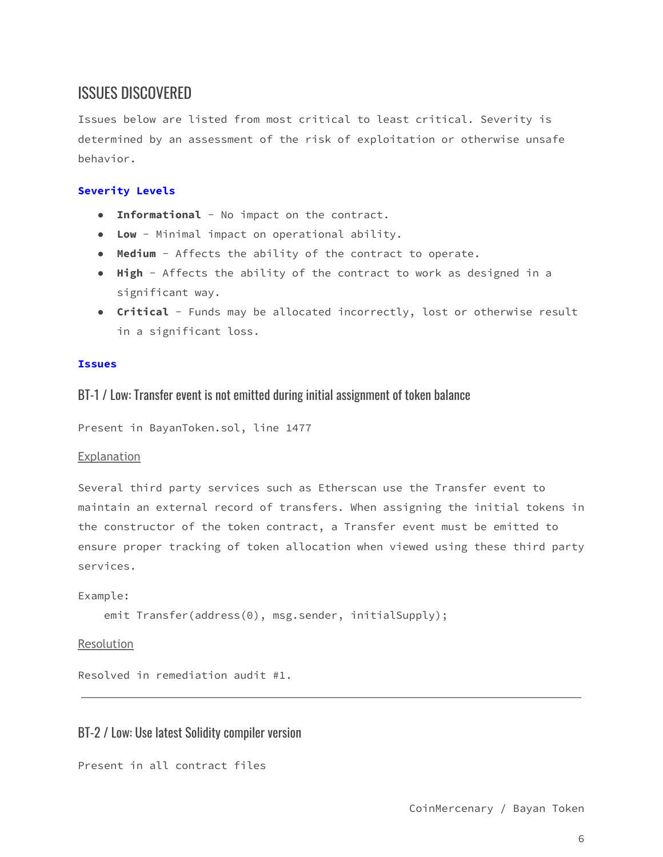# <span id="page-5-0"></span>ISSUES DISCOVERED

Issues below are listed from most critical to least critical. Severity is determined by an assessment of the risk of exploitation or otherwise unsafe behavior.

### <span id="page-5-1"></span>Severity Levels

- Informational No impact on the contract.
- Low Minimal impact on operational ability.
- Medium Affects the ability of the contract to operate.
- High Affects the ability of the contract to work as designed in a significant way.
- Critical Funds may be allocated incorrectly, lost or otherwise result in a significant loss.

### <span id="page-5-3"></span><span id="page-5-2"></span>Issues

### BT-1 / Low: Transfer event is not emitted during initial assignment of token balance

Present in BayanToken.sol, line 1477

### <span id="page-5-4"></span>Explanation

Several third party services such as Etherscan use the Transfer event to maintain an external record of transfers. When assigning the initial tokens in the constructor of the token contract, a Transfer event must be emitted to ensure proper tracking of token allocation when viewed using these third party services.

### Example:

```
emit Transfer(address(0), msg.sender, initialSupply);
```
<span id="page-5-5"></span>Resolution

Resolved in remediation audit #1.

### <span id="page-5-6"></span>BT-2 / Low: Use latest Solidity compiler version

```
Present in all contract files
```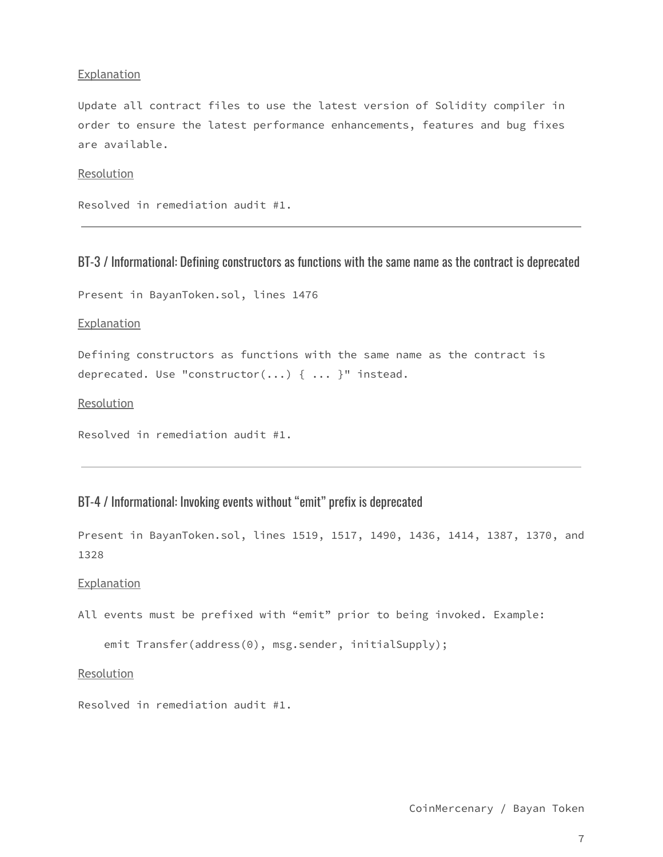### <span id="page-6-0"></span>Explanation

Update all contract files to use the latest version of Solidity compiler in order to ensure the latest performance enhancements, features and bug fixes are available.

### <span id="page-6-1"></span>Resolution

Resolved in remediation audit #1.

### <span id="page-6-2"></span>BT-3 / Informational: Defining constructors as functions with the same name as the contract is deprecated

Present in BayanToken.sol, lines 1476

<span id="page-6-3"></span>Explanation

Defining constructors as functions with the same name as the contract is deprecated. Use "constructor(...) { ... }" instead.

<span id="page-6-4"></span>Resolution

Resolved in remediation audit #1.

### <span id="page-6-5"></span>BT-4 / Informational: Invoking events without "emit" prefix is deprecated

Present in BayanToken.sol, lines 1519, 1517, 1490, 1436, 1414, 1387, 1370, and 1328

### <span id="page-6-6"></span>Explanation

All events must be prefixed with "emit" prior to being invoked. Example:

emit Transfer(address(0), msg.sender, initialSupply);

### <span id="page-6-7"></span>Resolution

Resolved in remediation audit #1.